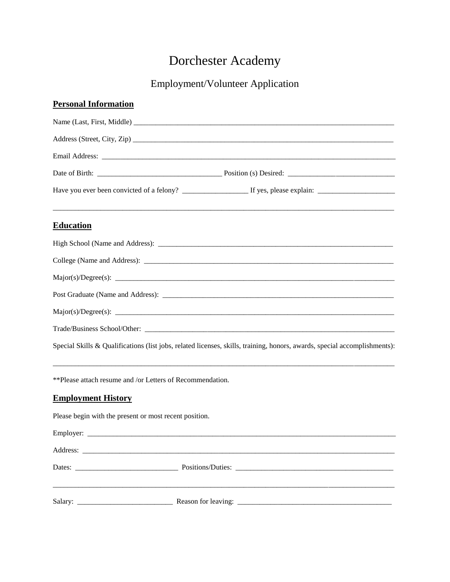## Dorchester Academy

## Employment/Volunteer Application

Special Skills & Qualifications (list jobs, related licenses, skills, training, honors, awards, special accomplishments):

\*\*Please attach resume and /or Letters of Recommendation.

## **Employment History**

Please begin with the present or most recent position.

| Dates: The Contract of the Contract of the Contract of the Contract of the Contract of the Contract of the Contract of the Contract of the Contract of the Contract of the Contract of the Contract of the Contract of the Con |  |
|--------------------------------------------------------------------------------------------------------------------------------------------------------------------------------------------------------------------------------|--|
|                                                                                                                                                                                                                                |  |